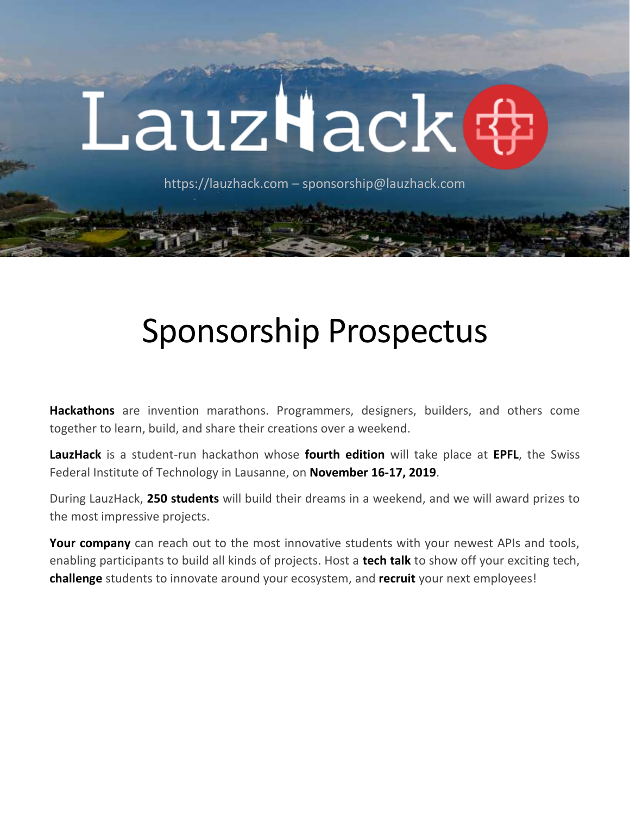# LauzHack&

https://lauzhack.com – sponsorship@lauzhack.com

# Sponsorship Prospectus

**Hackathons** are invention marathons. Programmers, designers, builders, and others come together to learn, build, and share their creations over a weekend.

**LauzHack** is a student-run hackathon whose **fourth edition** will take place at **EPFL**, the Swiss Federal Institute of Technology in Lausanne, on **November 16-17, 2019**.

During LauzHack, **250 students** will build their dreams in a weekend, and we will award prizes to the most impressive projects.

Your company can reach out to the most innovative students with your newest APIs and tools, enabling participants to build all kinds of projects. Host a **tech talk** to show off your exciting tech, **challenge** students to innovate around your ecosystem, and **recruit** your next employees!